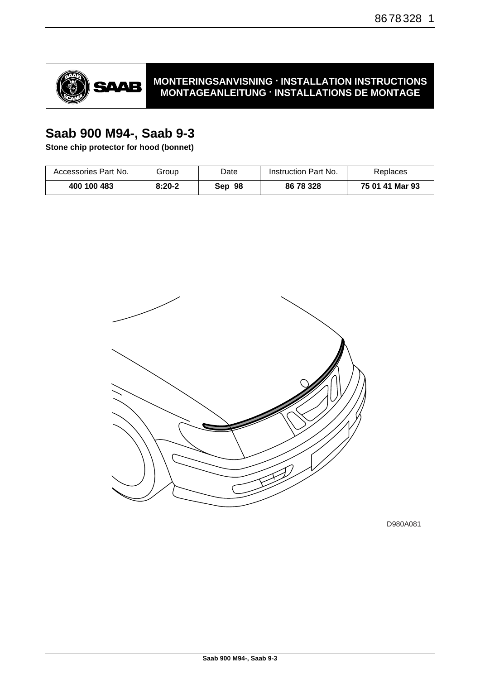

## **MONTERINGSANVISNING · INSTALLATION INSTRUCTIONS MONTAGEANLEITUNG · INSTALLATIONS DE MONTAGE**

# **Saab 900 M94-, Saab 9-3**

**Stone chip protector for hood (bonnet)**

| Accessories Part No. | Group    | Date   | Instruction Part No. | Replaces        |
|----------------------|----------|--------|----------------------|-----------------|
| 400 100 483          | $8:20-2$ | Sep 98 | 86 78 328            | 75 01 41 Mar 93 |



D980A081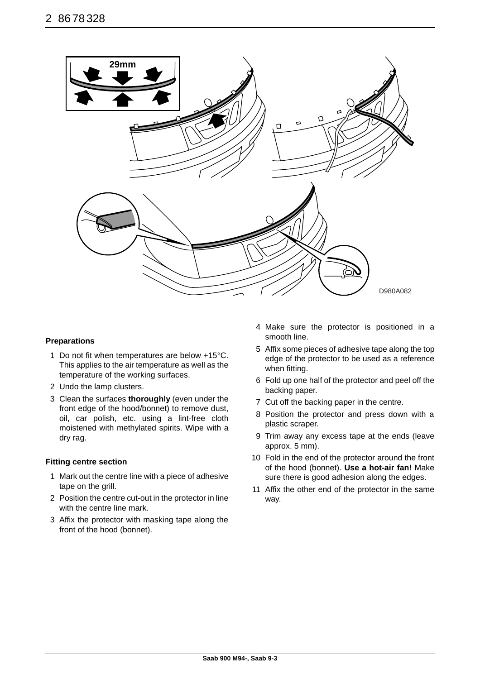

#### **Preparations**

- 1 Do not fit when temperatures are below +15°C. This applies to the air temperature as well as the temperature of the working surfaces.
- 2 Undo the lamp clusters.
- 3 Clean the surfaces **thoroughly** (even under the front edge of the hood/bonnet) to remove dust, oil, car polish, etc. using a lint-free cloth moistened with methylated spirits. Wipe with a dry rag.

#### **Fitting centre section**

- 1 Mark out the centre line with a piece of adhesive tape on the grill.
- 2 Position the centre cut-out in the protector in line with the centre line mark.
- 3 Affix the protector with masking tape along the front of the hood (bonnet).
- 4 Make sure the protector is positioned in a smooth line.
- 5 Affix some pieces of adhesive tape along the top edge of the protector to be used as a reference when fitting.
- 6 Fold up one half of the protector and peel off the backing paper.
- 7 Cut off the backing paper in the centre.
- 8 Position the protector and press down with a plastic scraper.
- 9 Trim away any excess tape at the ends (leave approx. 5 mm).
- 10 Fold in the end of the protector around the front of the hood (bonnet). **Use a hot-air fan!** Make sure there is good adhesion along the edges.
- 11 Affix the other end of the protector in the same way.